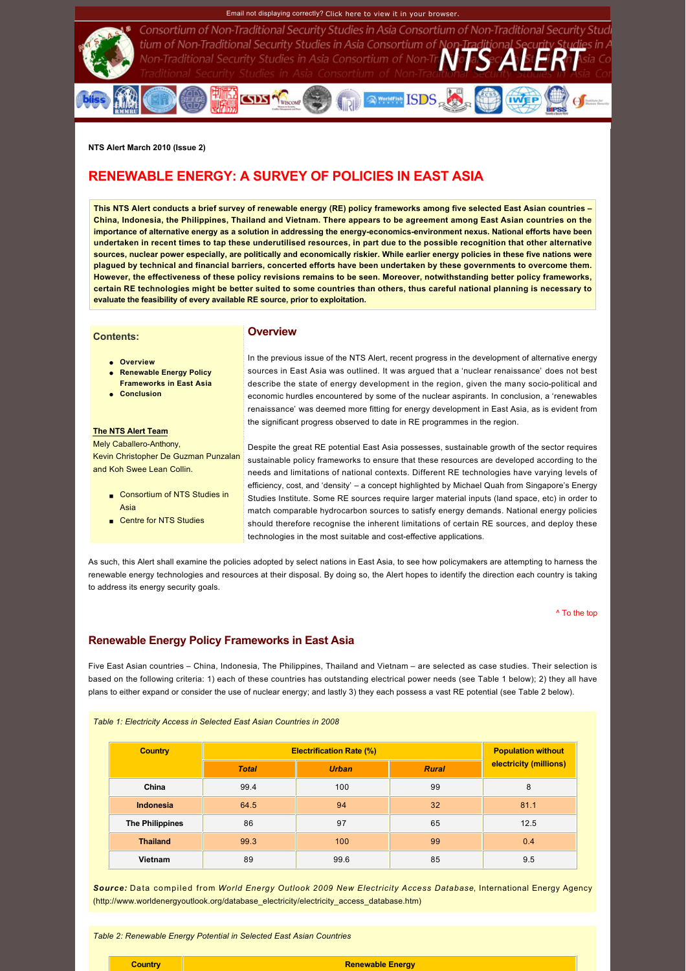## Email not displaying correctly? [Click here to view it in your browser.](http://www.rsis.edu.sg/nts/HTML-Newsletter/alert/NTS-alert-mar-1002.html)



Consortium of Non-Traditional Security Studies in Asia Consortium of Non-Traditional Security Stud tium of Non-Traditional Security Studies in Asia Consortium of Non-Traditional Security St<br>Non-Traditional Security Studies in Asia Consortium of Non-Tr $N$  Ta $S$ ed $\Delta$  Ei $R$ 

**RESERVE SERVICE** 

**NTS Alert March 2010 (Issue 2)**

# <span id="page-0-0"></span>**RENEWABLE ENERGY: A SURVEY OF POLICIES IN EAST ASIA**

**CODS TWISCOME** 

**This NTS Alert conducts a brief survey of renewable energy (RE) policy frameworks among five selected East Asian countries – China, Indonesia, the Philippines, Thailand and Vietnam. There appears to be agreement among East Asian countries on the**  importance of alternative energy as a solution in addressing the energy-economics-environment nexus. National efforts have been **undertaken in recent times to tap these underutilised resources, in part due to the possible recognition that other alternative sources, nuclear power especially, are politically and economically riskier. While earlier energy policies in these five nations were plagued by technical and financial barriers, concerted efforts have been undertaken by these governments to overcome them. However, the effectiveness of these policy revisions remains to be seen. Moreover, notwithstanding better policy frameworks, certain RE technologies might be better suited to some countries than others, thus careful national planning is necessary to evaluate the feasibility of every available RE source, prior to exploitation.** 

## **Contents:**

## **Overview**

- **.** [Overview](http://www.rsis.edu.sg/nts/HTML-Newsletter/alert/NTS-alert-mar-1002.html#Overview)
- **e** Renewable Energy Policy
- **Frameworks in East Asia**
- **conclusion**

#### **The NTS Alert Team**

Mely Caballero-Anthony. [Kevin Christopher De Guzman Punzalan](http://www.rsis.edu.sg/nts/people.html)  and Koh Swee Lean Collin.

- Consortium of NTS Studies in Asia
- [Centre for NTS Studies](http://www.rsis.edu.sg/nts)

In the previous issue of the NTS Alert, recent progress in the development of alternative energy sources in East Asia was outlined. It was argued that a 'nuclear renaissance' does not best describe the state of energy development in the region, given the many socio-political and economic hurdles encountered by some of the nuclear aspirants. In conclusion, a 'renewables renaissance' was deemed more fitting for energy development in East Asia, as is evident from the significant progress observed to date in RE programmes in the region.

Despite the great RE potential East Asia possesses, sustainable growth of the sector requires sustainable policy frameworks to ensure that these resources are developed according to the needs and limitations of national contexts. Different RE technologies have varying levels of efficiency, cost, and 'density' – a concept highlighted by Michael Quah from Singapore's Energy Studies Institute. Some RE sources require larger material inputs (land space, etc) in order to match comparable hydrocarbon sources to satisfy energy demands. National energy policies should therefore recognise the inherent limitations of certain RE sources, and deploy these technologies in the most suitable and costeffective applications.

As such, this Alert shall examine the policies adopted by select nations in East Asia, to see how policymakers are attempting to harness the renewable energy technologies and resources at their disposal. By doing so, the Alert hopes to identify the direction each country is taking to address its energy security goals.

#### [^ To the top](#page-0-0)

# **Renewable Energy Policy Frameworks in East Asia**

Five East Asian countries – China, Indonesia, The Philippines, Thailand and Vietnam – are selected as case studies. Their selection is based on the following criteria: 1) each of these countries has outstanding electrical power needs (see Table 1 below); 2) they all have plans to either expand or consider the use of nuclear energy; and lastly 3) they each possess a vast RE potential (see Table 2 below).

*Table 1: Electricity Access in Selected East Asian Countries in 2008*

| <b>Country</b>         | <b>Electrification Rate (%)</b> | <b>Population without</b> |              |                        |
|------------------------|---------------------------------|---------------------------|--------------|------------------------|
|                        | <b>Total</b>                    | <b>Urban</b>              | <b>Rural</b> | electricity (millions) |
| China                  | 99.4                            | 100                       | 99           | 8                      |
| <b>Indonesia</b>       | 64.5                            | 94                        | 32           | 81.1                   |
| <b>The Philippines</b> | 86                              | 97                        | 65           | 12.5                   |
| <b>Thailand</b>        | 99.3                            | 100                       | 99           | 0.4                    |
| Vietnam                | 89                              | 99.6                      | 85           | 9.5                    |

*Source:* Data compiled from *World Energy Outlook 2009 New Electricity Access Database*, International Energy Agency [\(http://www.worldenergyoutlook.org/database\\_electricity/electricity\\_access\\_database.htm](http://www.worldenergyoutlook.org/database_electricity/electricity_access_database.htm))

*Table 2: Renewable Energy Potential in Selected East Asian Countries*

#### **Renewable Energy**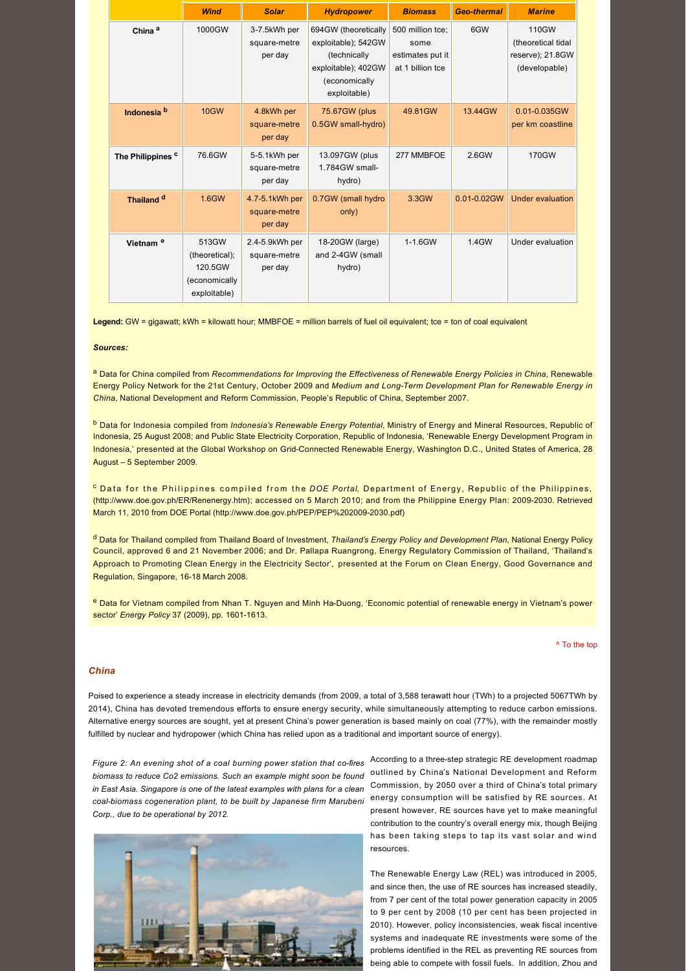|                              | <b>Wind</b>                                                         | <b>Solar</b>                              | <b>Hydropower</b>                                                                                                   | <b>Biomass</b>                                                   | <b>Geo-thermal</b> | <b>Marine</b>                                                    |
|------------------------------|---------------------------------------------------------------------|-------------------------------------------|---------------------------------------------------------------------------------------------------------------------|------------------------------------------------------------------|--------------------|------------------------------------------------------------------|
| China <sup>a</sup>           | 1000GW                                                              | 3-7.5kWh per<br>square-metre<br>per day   | 694GW (theoretically<br>exploitable); 542GW<br>(technically<br>exploitable); 402GW<br>(economically<br>exploitable) | 500 million tce;<br>some<br>estimates put it<br>at 1 billion tce | 6GW                | 110GW<br>(theoretical tidal<br>reserve); 21.8GW<br>(developable) |
| Indonesia <sup>b</sup>       | <b>10GW</b>                                                         | 4.8kWh per<br>square-metre<br>per day     | 75.67GW (plus<br>0.5GW small-hydro)                                                                                 | 49.81GW                                                          | 13.44GW            | 0.01-0.035GW<br>per km coastline                                 |
| The Philippines <sup>c</sup> | 76.6GW                                                              | 5-5.1kWh per<br>square-metre<br>per day   | 13.097GW (plus<br>1.784GW small-<br>hydro)                                                                          | 277 MMBFOE                                                       | $2.6$ GW           | 170GW                                                            |
| Thailand <sup>d</sup>        | 1.6GW                                                               | 4.7-5.1kWh per<br>square-metre<br>per day | 0.7GW (small hydro<br>only)                                                                                         | 3.3GW                                                            | $0.01 - 0.02$ GW   | <b>Under evaluation</b>                                          |
| Vietnam <sup>e</sup>         | 513GW<br>(theoretical);<br>120.5GW<br>(economically<br>exploitable) | 2.4-5.9kWh per<br>square-metre<br>per day | 18-20GW (large)<br>and 2-4GW (small<br>hydro)                                                                       | 1-1.6GW                                                          | 1.4GW              | Under evaluation                                                 |

**Legend:** GW = gigawatt; kWh = kilowatt hour; MMBFOE = million barrels of fuel oil equivalent; tce = ton of coal equivalent

## *Sources:*

a Data for China compiled from *Recommendations for Improving the Effectiveness of Renewable Energy Policies in China*, Renewable Energy Policy Network for the 21st Century, October 2009 and *Medium and LongTerm Development Plan for Renewable Energy in China*, National Development and Reform Commission, People's Republic of China, September 2007.

b Data for Indonesia compiled from *Indonesia's Renewable Energy Potential*, Ministry of Energy and Mineral Resources, Republic of Indonesia, 25 August 2008; and Public State Electricity Corporation, Republic of Indonesia, 'Renewable Energy Development Program in Indonesia,' presented at the Global Workshop on Grid-Connected Renewable Energy, Washington D.C., United States of America, 28 August – 5 September 2009.

<sup>c</sup> Data for the Philippines compiled from the *DOE Portal*, Department of Energy, Republic of the Philippines, [\(http://www.doe.gov.ph/ER/Renenergy.htm](http://www.doe.gov.ph/ER/Renenergy.htm)); accessed on 5 March 2010; and from the Philippine Energy Plan: 20092030. Retrieved March 11, 2010 from DOE Portal (http://www.doe.gov.ph/PEP/PEP%202009-2030.pdf)

d Data for Thailand compiled from Thailand Board of Investment, *Thailand's Energy Policy and Development Plan*, National Energy Policy Council, approved 6 and 21 November 2006; and Dr. Pallapa Ruangrong, Energy Regulatory Commission of Thailand, 'Thailand's Approach to Promoting Clean Energy in the Electricity Sector', presented at the Forum on Clean Energy, Good Governance and Regulation, Singapore, 16-18 March 2008.

e Data for Vietnam compiled from Nhan T. Nguyen and Minh Ha-Duong, 'Economic potential of renewable energy in Vietnam's power sector' *Energy Policy* 37 (2009), pp. 1601-1613.

#### [^ To the top](#page-0-0)

## *China*

Poised to experience a steady increase in electricity demands (from 2009, a total of 3,588 terawatt hour (TWh) to a projected 5067TWh by 2014), China has devoted tremendous efforts to ensure energy security, while simultaneously attempting to reduce carbon emissions. Alternative energy sources are sought, yet at present China's power generation is based mainly on coal (77%), with the remainder mostly fulfilled by nuclear and hydropower (which China has relied upon as a traditional and important source of energy).

*biomass to reduce Co2 emissions. Such an example might soon be found* outlined by China's National Development and Reform *coal-biomass cogeneration plant, to be built by Japanese firm Marubeni* energy consumption will be satisfied by RE sources. At *in East Asia. Singapore is one of the latest examples with plans for a clean Corp., due to be operational by 2012.* 



Figure 2: An evening shot of a coal burning power station that co-fires According to a three-step strategic RE development roadmap Commission, by 2050 over a third of China's total primary present however, RE sources have yet to make meaningful contribution to the country's overall energy mix, though Beijing has been taking steps to tap its vast solar and wind resources.

> The Renewable Energy Law (REL) was introduced in 2005, and since then, the use of RE sources has increased steadily, from 7 per cent of the total power generation capacity in 2005 to 9 per cent by 2008 (10 per cent has been projected in 2010). However, policy inconsistencies, weak fiscal incentive systems and inadequate RE investments were some of the problems identified in the REL as preventing RE sources from being able to compete with fossil fuels. In addition, Zhou and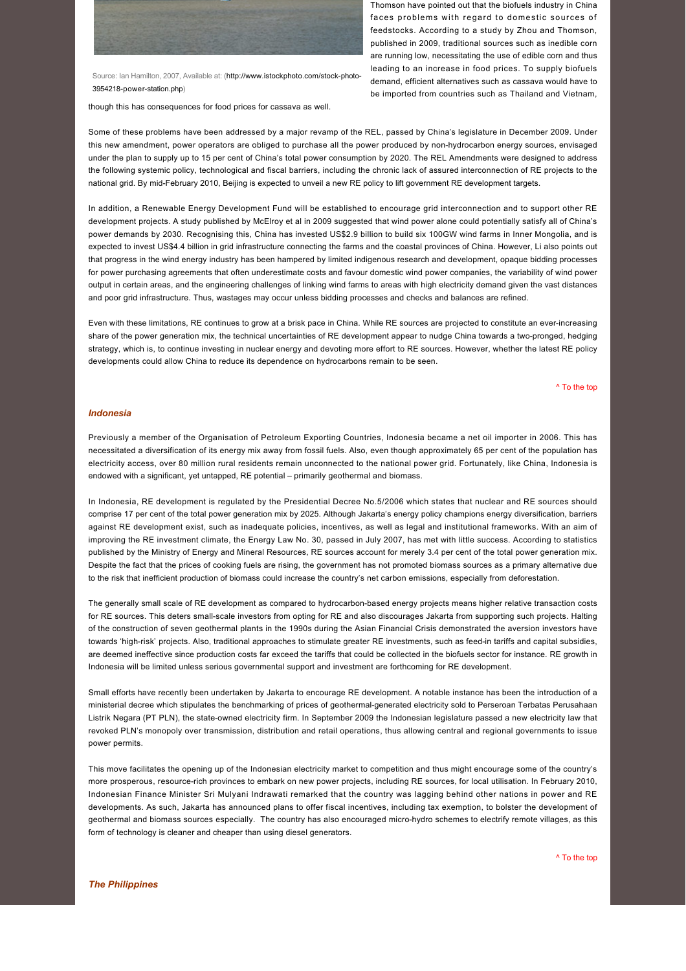

Source: Ian Hamilton, 2007, Available at: (http://www.jstockphoto.com/stock-photo-3954218-power-station.php)

though this has consequences for food prices for cassava as well.

Thomson have pointed out that the biofuels industry in China faces problems with regard to domestic sources of feedstocks. According to a study by Zhou and Thomson, published in 2009, traditional sources such as inedible corn are running low, necessitating the use of edible corn and thus leading to an increase in food prices. To supply biofuels demand, efficient alternatives such as cassava would have to be imported from countries such as Thailand and Vietnam,

Some of these problems have been addressed by a major revamp of the REL, passed by China's legislature in December 2009. Under this new amendment, power operators are obliged to purchase all the power produced by nonhydrocarbon energy sources, envisaged under the plan to supply up to 15 per cent of China's total power consumption by 2020. The REL Amendments were designed to address the following systemic policy, technological and fiscal barriers, including the chronic lack of assured interconnection of RE projects to the national grid. By mid-February 2010, Beijing is expected to unveil a new RE policy to lift government RE development targets.

In addition, a Renewable Energy Development Fund will be established to encourage grid interconnection and to support other RE development projects. A study published by McElroy et al in 2009 suggested that wind power alone could potentially satisfy all of China's power demands by 2030. Recognising this, China has invested US\$2.9 billion to build six 100GW wind farms in Inner Mongolia, and is expected to invest US\$4.4 billion in grid infrastructure connecting the farms and the coastal provinces of China. However, Li also points out that progress in the wind energy industry has been hampered by limited indigenous research and development, opaque bidding processes for power purchasing agreements that often underestimate costs and favour domestic wind power companies, the variability of wind power output in certain areas, and the engineering challenges of linking wind farms to areas with high electricity demand given the vast distances and poor grid infrastructure. Thus, wastages may occur unless bidding processes and checks and balances are refined.

Even with these limitations, RE continues to grow at a brisk pace in China. While RE sources are projected to constitute an ever-increasing share of the power generation mix, the technical uncertainties of RE development appear to nudge China towards a two-pronged, hedging strategy, which is, to continue investing in nuclear energy and devoting more effort to RE sources. However, whether the latest RE policy developments could allow China to reduce its dependence on hydrocarbons remain to be seen.

[^ To the top](#page-0-0)

#### *Indonesia*

Previously a member of the Organisation of Petroleum Exporting Countries, Indonesia became a net oil importer in 2006. This has necessitated a diversification of its energy mix away from fossil fuels. Also, even though approximately 65 per cent of the population has electricity access, over 80 million rural residents remain unconnected to the national power grid. Fortunately, like China, Indonesia is endowed with a significant, yet untapped, RE potential – primarily geothermal and biomass.

In Indonesia, RE development is regulated by the Presidential Decree No.5/2006 which states that nuclear and RE sources should comprise 17 per cent of the total power generation mix by 2025. Although Jakarta's energy policy champions energy diversification, barriers against RE development exist, such as inadequate policies, incentives, as well as legal and institutional frameworks. With an aim of improving the RE investment climate, the Energy Law No. 30, passed in July 2007, has met with little success. According to statistics published by the Ministry of Energy and Mineral Resources, RE sources account for merely 3.4 per cent of the total power generation mix. Despite the fact that the prices of cooking fuels are rising, the government has not promoted biomass sources as a primary alternative due to the risk that inefficient production of biomass could increase the country's net carbon emissions, especially from deforestation.

The generally small scale of RE development as compared to hydrocarbon-based energy projects means higher relative transaction costs for RE sources. This deters small-scale investors from opting for RE and also discourages Jakarta from supporting such projects. Halting of the construction of seven geothermal plants in the 1990s during the Asian Financial Crisis demonstrated the aversion investors have towards 'high-risk' projects. Also, traditional approaches to stimulate greater RE investments, such as feed-in tariffs and capital subsidies, are deemed ineffective since production costs far exceed the tariffs that could be collected in the biofuels sector for instance. RE growth in Indonesia will be limited unless serious governmental support and investment are forthcoming for RE development.

Small efforts have recently been undertaken by Jakarta to encourage RE development. A notable instance has been the introduction of a ministerial decree which stipulates the benchmarking of prices of geothermal-generated electricity sold to Perseroan Terbatas Perusahaan Listrik Negara (PT PLN), the state-owned electricity firm. In September 2009 the Indonesian legislature passed a new electricity law that revoked PLN's monopoly over transmission, distribution and retail operations, thus allowing central and regional governments to issue power permits.

This move facilitates the opening up of the Indonesian electricity market to competition and thus might encourage some of the country's more prosperous, resourcerich provinces to embark on new power projects, including RE sources, for local utilisation. In February 2010, Indonesian Finance Minister Sri Mulyani Indrawati remarked that the country was lagging behind other nations in power and RE developments. As such, Jakarta has announced plans to offer fiscal incentives, including tax exemption, to bolster the development of geothermal and biomass sources especially. The country has also encouraged microhydro schemes to electrify remote villages, as this form of technology is cleaner and cheaper than using diesel generators.

[^ To the top](#page-0-0)

*The Philippines*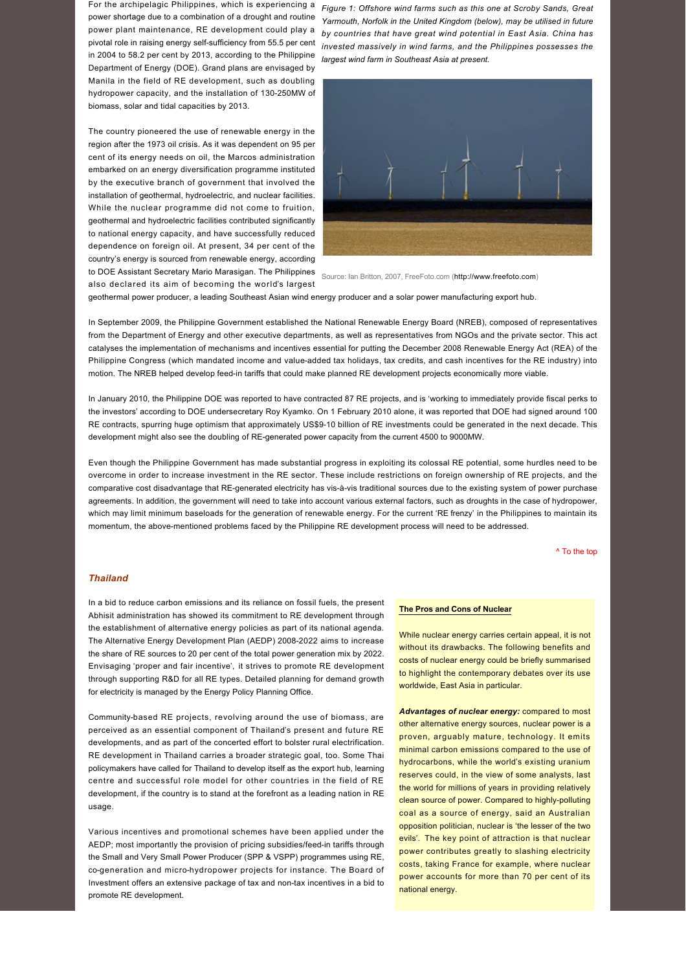For the archipelagic Philippines, which is experiencing a power shortage due to a combination of a drought and routine power plant maintenance, RE development could play a pivotal role in raising energy self-sufficiency from 55.5 per cent in 2004 to 58.2 per cent by 2013, according to the Philippine Department of Energy (DOE). Grand plans are envisaged by Manila in the field of RE development, such as doubling hydropower capacity, and the installation of 130-250MW of biomass, solar and tidal capacities by 2013.

The country pioneered the use of renewable energy in the region after the 1973 oil crisis. As it was dependent on 95 per cent of its energy needs on oil, the Marcos administration embarked on an energy diversification programme instituted by the executive branch of government that involved the installation of geothermal, hydroelectric, and nuclear facilities. While the nuclear programme did not come to fruition, geothermal and hydroelectric facilities contributed significantly to national energy capacity, and have successfully reduced dependence on foreign oil. At present, 34 per cent of the country's energy is sourced from renewable energy, according to DOE Assistant Secretary Mario Marasigan. The Philippines Source: Ian Britton, 2007, FreeFoto.com ([http://www.freefoto.com\)](http://www.freefoto.com/)

*Figure 1: Offshore wind farms such as this one at Scroby Sands, Great Yarmouth, Norfolk in the United Kingdom (below), may be utilised in future by countries that have great wind potential in East Asia. China has invested massively in wind farms, and the Philippines possesses the largest wind farm in Southeast Asia at present.*



also declared its aim of becoming the world's largest

geothermal power producer, a leading Southeast Asian wind energy producer and a solar power manufacturing export hub.

In September 2009, the Philippine Government established the National Renewable Energy Board (NREB), composed of representatives from the Department of Energy and other executive departments, as well as representatives from NGOs and the private sector. This act catalyses the implementation of mechanisms and incentives essential for putting the December 2008 Renewable Energy Act (REA) of the Philippine Congress (which mandated income and value-added tax holidays, tax credits, and cash incentives for the RE industry) into motion. The NREB helped develop feedin tariffs that could make planned RE development projects economically more viable.

In January 2010, the Philippine DOE was reported to have contracted 87 RE projects, and is 'working to immediately provide fiscal perks to the investors' according to DOE undersecretary Roy Kyamko. On 1 February 2010 alone, it was reported that DOE had signed around 100 RE contracts, spurring huge optimism that approximately US\$9-10 billion of RE investments could be generated in the next decade. This development might also see the doubling of RE-generated power capacity from the current 4500 to 9000MW.

Even though the Philippine Government has made substantial progress in exploiting its colossal RE potential, some hurdles need to be overcome in order to increase investment in the RE sector. These include restrictions on foreign ownership of RE projects, and the comparative cost disadvantage that RE-generated electricity has vis-à-vis traditional sources due to the existing system of power purchase agreements. In addition, the government will need to take into account various external factors, such as droughts in the case of hydropower, which may limit minimum baseloads for the generation of renewable energy. For the current 'RE frenzy' in the Philippines to maintain its momentum, the above-mentioned problems faced by the Philippine RE development process will need to be addressed.

[^ To the top](#page-0-0)

# *Thailand*

In a bid to reduce carbon emissions and its reliance on fossil fuels, the present Abhisit administration has showed its commitment to RE development through the establishment of alternative energy policies as part of its national agenda. The Alternative Energy Development Plan (AEDP) 2008-2022 aims to increase the share of RE sources to 20 per cent of the total power generation mix by 2022. Envisaging 'proper and fair incentive', it strives to promote RE development through supporting R&D for all RE types. Detailed planning for demand growth for electricity is managed by the Energy Policy Planning Office.

Community-based RE projects, revolving around the use of biomass, are perceived as an essential component of Thailand's present and future RE developments, and as part of the concerted effort to bolster rural electrification. RE development in Thailand carries a broader strategic goal, too. Some Thai policymakers have called for Thailand to develop itself as the export hub, learning centre and successful role model for other countries in the field of RE development, if the country is to stand at the forefront as a leading nation in RE usage.

Various incentives and promotional schemes have been applied under the AEDP; most importantly the provision of pricing subsidies/feed-in tariffs through the Small and Very Small Power Producer (SPP & VSPP) programmes using RE, co-generation and micro-hydropower projects for instance. The Board of Investment offers an extensive package of tax and non-tax incentives in a bid to promote RE development.

#### **The Pros and Cons of Nuclear**

While nuclear energy carries certain appeal, it is not without its drawbacks. The following benefits and costs of nuclear energy could be briefly summarised to highlight the contemporary debates over its use worldwide, East Asia in particular.

*Advantages of nuclear energy:* compared to most other alternative energy sources, nuclear power is a proven, arguably mature, technology. It emits minimal carbon emissions compared to the use of hydrocarbons, while the world's existing uranium reserves could, in the view of some analysts, last the world for millions of years in providing relatively clean source of power. Compared to highly-polluting coal as a source of energy, said an Australian opposition politician, nuclear is 'the lesser of the two evils'. The key point of attraction is that nuclear power contributes greatly to slashing electricity costs, taking France for example, where nuclear power accounts for more than 70 per cent of its national energy.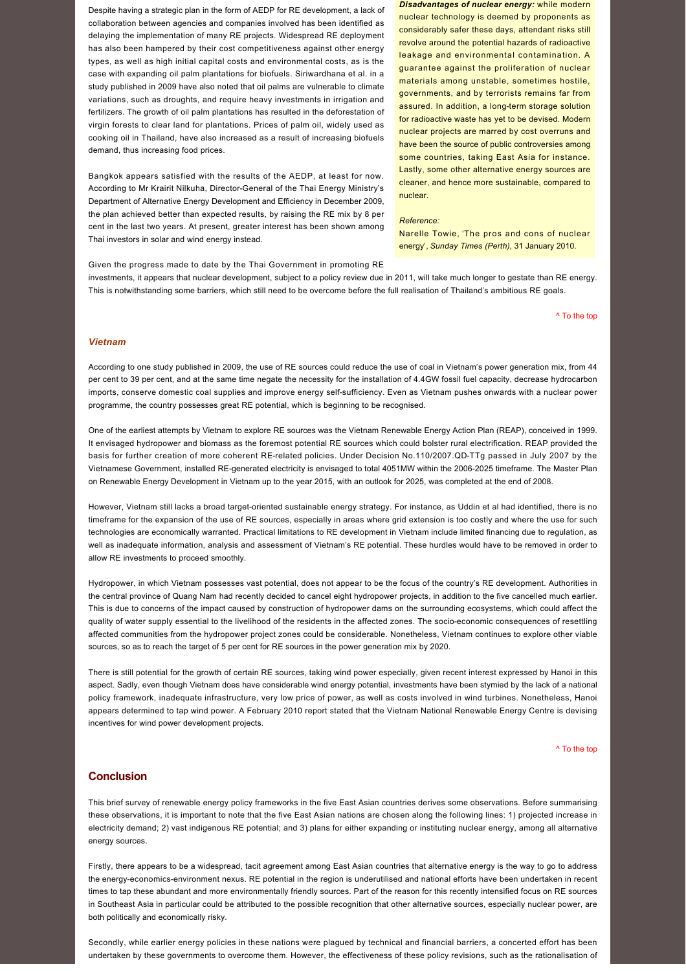Despite having a strategic plan in the form of AEDP for RE development, a lack of collaboration between agencies and companies involved has been identified as delaying the implementation of many RE projects. Widespread RE deployment has also been hampered by their cost competitiveness against other energy types, as well as high initial capital costs and environmental costs, as is the case with expanding oil palm plantations for biofuels. Siriwardhana et al. in a study published in 2009 have also noted that oil palms are vulnerable to climate variations, such as droughts, and require heavy investments in irrigation and fertilizers. The growth of oil palm plantations has resulted in the deforestation of virgin forests to clear land for plantations. Prices of palm oil, widely used as cooking oil in Thailand, have also increased as a result of increasing biofuels demand, thus increasing food prices.

Bangkok appears satisfied with the results of the AEDP, at least for now. According to Mr Krairit Nilkuha, Director-General of the Thai Energy Ministry's Department of Alternative Energy Development and Efficiency in December 2009, the plan achieved better than expected results, by raising the RE mix by 8 per cent in the last two years. At present, greater interest has been shown among Thai investors in solar and wind energy instead.

*Disadvantages of nuclear energy:* while modern nuclear technology is deemed by proponents as considerably safer these days, attendant risks still revolve around the potential hazards of radioactive leakage and environmental contamination. A guarantee against the proliferation of nuclear materials among unstable, sometimes hostile, governments, and by terrorists remains far from assured. In addition, a long-term storage solution for radioactive waste has yet to be devised. Modern nuclear projects are marred by cost overruns and have been the source of public controversies among some countries, taking East Asia for instance. Lastly, some other alternative energy sources are cleaner, and hence more sustainable, compared to nuclear.

## *Reference:*

Narelle Towie, 'The pros and cons of nuclear energy', *Sunday Times (Perth)*, 31 January 2010.

Given the progress made to date by the Thai Government in promoting RE investments, it appears that nuclear development, subject to a policy review due in 2011, will take much longer to gestate than RE energy. This is notwithstanding some barriers, which still need to be overcome before the full realisation of Thailand's ambitious RE goals.

[^ To the top](#page-0-0)

#### *Vietnam*

According to one study published in 2009, the use of RE sources could reduce the use of coal in Vietnam's power generation mix, from 44 per cent to 39 per cent, and at the same time negate the necessity for the installation of 4.4GW fossil fuel capacity, decrease hydrocarbon imports, conserve domestic coal supplies and improve energy selfsufficiency. Even as Vietnam pushes onwards with a nuclear power programme, the country possesses great RE potential, which is beginning to be recognised.

One of the earliest attempts by Vietnam to explore RE sources was the Vietnam Renewable Energy Action Plan (REAP), conceived in 1999. It envisaged hydropower and biomass as the foremost potential RE sources which could bolster rural electrification. REAP provided the basis for further creation of more coherent RE-related policies. Under Decision No.110/2007.QD-TTg passed in July 2007 by the Vietnamese Government, installed REgenerated electricity is envisaged to total 4051MW within the 20062025 timeframe. The Master Plan on Renewable Energy Development in Vietnam up to the year 2015, with an outlook for 2025, was completed at the end of 2008.

However, Vietnam still lacks a broad target-oriented sustainable energy strategy. For instance, as Uddin et al had identified, there is no timeframe for the expansion of the use of RE sources, especially in areas where grid extension is too costly and where the use for such technologies are economically warranted. Practical limitations to RE development in Vietnam include limited financing due to regulation, as well as inadequate information, analysis and assessment of Vietnam's RE potential. These hurdles would have to be removed in order to allow RE investments to proceed smoothly.

Hydropower, in which Vietnam possesses vast potential, does not appear to be the focus of the country's RE development. Authorities in the central province of Quang Nam had recently decided to cancel eight hydropower projects, in addition to the five cancelled much earlier. This is due to concerns of the impact caused by construction of hydropower dams on the surrounding ecosystems, which could affect the quality of water supply essential to the livelihood of the residents in the affected zones. The socio-economic consequences of resettling affected communities from the hydropower project zones could be considerable. Nonetheless, Vietnam continues to explore other viable sources, so as to reach the target of 5 per cent for RE sources in the power generation mix by 2020.

There is still potential for the growth of certain RE sources, taking wind power especially, given recent interest expressed by Hanoi in this aspect. Sadly, even though Vietnam does have considerable wind energy potential, investments have been stymied by the lack of a national policy framework, inadequate infrastructure, very low price of power, as well as costs involved in wind turbines. Nonetheless, Hanoi appears determined to tap wind power. A February 2010 report stated that the Vietnam National Renewable Energy Centre is devising incentives for wind power development projects.

[^ To the top](#page-0-0)

# **Conclusion**

This brief survey of renewable energy policy frameworks in the five East Asian countries derives some observations. Before summarising these observations, it is important to note that the five East Asian nations are chosen along the following lines: 1) projected increase in electricity demand; 2) vast indigenous RE potential; and 3) plans for either expanding or instituting nuclear energy, among all alternative energy sources.

Firstly, there appears to be a widespread, tacit agreement among East Asian countries that alternative energy is the way to go to address the energy-economics-environment nexus. RE potential in the region is underutilised and national efforts have been undertaken in recent times to tap these abundant and more environmentally friendly sources. Part of the reason for this recently intensified focus on RE sources in Southeast Asia in particular could be attributed to the possible recognition that other alternative sources, especially nuclear power, are both politically and economically risky.

Secondly, while earlier energy policies in these nations were plagued by technical and financial barriers, a concerted effort has been undertaken by these governments to overcome them. However, the effectiveness of these policy revisions, such as the rationalisation of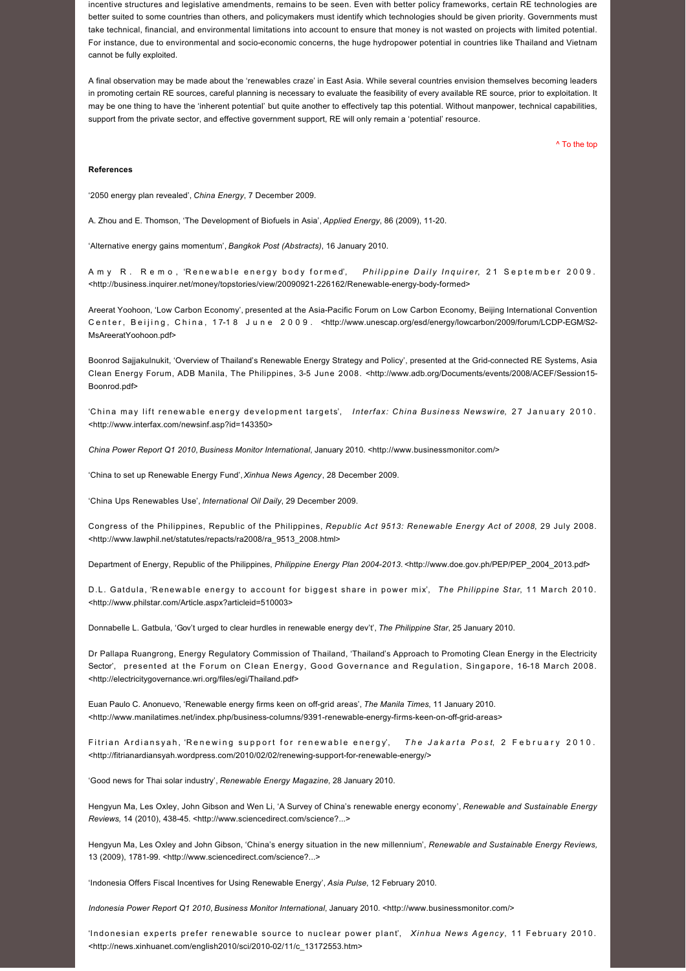incentive structures and legislative amendments, remains to be seen. Even with better policy frameworks, certain RE technologies are better suited to some countries than others, and policymakers must identify which technologies should be given priority. Governments must take technical, financial, and environmental limitations into account to ensure that money is not wasted on projects with limited potential. For instance, due to environmental and socioeconomic concerns, the huge hydropower potential in countries like Thailand and Vietnam cannot be fully exploited.

A final observation may be made about the 'renewables craze' in East Asia. While several countries envision themselves becoming leaders in promoting certain RE sources, careful planning is necessary to evaluate the feasibility of every available RE source, prior to exploitation. It may be one thing to have the 'inherent potential' but quite another to effectively tap this potential. Without manpower, technical capabilities, support from the private sector, and effective government support, RE will only remain a 'potential' resource.

[^ To the top](#page-0-0)

#### **References**

'2050 energy plan revealed', *China Energy*, 7 December 2009.

A. Zhou and E. Thomson, 'The Development of Biofuels in Asia', *Applied Energy*, 86 (2009), 1120.

'Alternative energy gains momentum', *Bangkok Post (Abstracts)*, 16 January 2010.

Amy R. Remo, 'Renewable energy body formed', *Philippine Daily Inquirer*, 21 September 2009. <http://business.inquirer.net/money/topstories/view/20090921-226162/Renewable-energy-body-formed>

Areerat Yoohoon, 'Low Carbon Economy', presented at the Asia-Pacific Forum on Low Carbon Economy, Beijing International Convention Center, Beijing, China, 17-18 June 2009. < http://www.unescap.org/esd/energy/lowcarbon/2009/forum/LCDP-EGM/S2-MsAreeratYoohoon.pdf>

Boonrod Sajjakulnukit, 'Overview of Thailand's Renewable Energy Strategy and Policy', presented at the Grid-connected RE Systems, Asia Clean Energy Forum, ADB Manila, The Philippines, 3-5 June 2008. <http://www.adb.org/Documents/events/2008/ACEF/Session15-Boonrod.pdf>

'China may lift renewable energy development targets', *Interfax: China Business Newswire*, 27 January 2010. <<http://www.interfax.com/newsinf.asp?id=143350>>

*China Power Report Q1 2010*, *Business Monitor International*, January 2010. [<http://www.businessmonitor.com/](http://www.businessmonitor.com/)>

'China to set up Renewable Energy Fund', *Xinhua News Agency*, 28 December 2009.

'China Ups Renewables Use', *International Oil Daily*, 29 December 2009.

Congress of the Philippines, Republic of the Philippines, *Republic Act 9513: Renewable Energy Act of 2008*, 29 July 2008. <[http://www.lawphil.net/statutes/repacts/ra2008/ra\\_9513\\_2008.html](http://www.lawphil.net/statutes/repacts/ra2008/ra_9513_2008.html)>

Department of Energy, Republic of the Philippines, *Philippine Energy Plan 20042013*. [<http://www.doe.gov.ph/PEP/PEP\\_2004\\_2013.pdf>](http://www.doe.gov.ph/PEP/PEP_2004_2013.pdf)

D.L. Gatdula, 'Renewable energy to account for biggest share in power mix', *The Philippine Star*, 11 March 2010. <[http://www.philstar.com/Article.aspx?articleid=510003>](http://www.philstar.com/Article.aspx?articleid=510003)

Donnabelle L. Gatbula, 'Gov't urged to clear hurdles in renewable energy dev't', *The Philippine Star*, 25 January 2010.

Dr Pallapa Ruangrong, Energy Regulatory Commission of Thailand, 'Thailand's Approach to Promoting Clean Energy in the Electricity Sector', presented at the Forum on Clean Energy, Good Governance and Regulation, Singapore, 1618 March 2008. <<http://electricitygovernance.wri.org/files/egi/Thailand.pdf>>

Euan Paulo C. Anonuevo, 'Renewable energy firms keen on offgrid areas', *The Manila Times*, 11 January 2010. <http://www.manilatimes.net/index.php/business-columns/9391-renewable-energy-firms-keen-on-off-grid-areas>

Fitrian Ardiansyah, 'Renewing support for renewable energy', *The Jakarta Post*, 2 February 2010. <http://fitrianardiansyah.wordpress.com/2010/02/02/renewing-support-for-renewable-energy/>

'Good news for Thai solar industry', *Renewable Energy Magazine*, 28 January 2010.

Hengyun Ma, Les Oxley, John Gibson and Wen Li, 'A Survey of China's renewable energy economy', *Renewable and Sustainable Energy Reviews,* 14 (2010), 43845. [<http://www.sciencedirect.com/science?...>](http://www.sciencedirect.com/science?_ob=ArticleURL&_udi=B6VMY-4WXB2C1-8&_user=10&_coverDate=01%2F31%2F2010&_rdoc=1&_fmt=high&_orig=search&_sort=d&_docanchor=&view=c&_searchStrId=1199428739&_rerunOrigin=google&_acct=C000050221&_version=1&_urlVersion=0&_userid=10&md5=b82757531eded3c183f2187b37bca489)

Hengyun Ma, Les Oxley and John Gibson, 'China's energy situation in the new millennium', *Renewable and Sustainable Energy Reviews,* 13 (2009), 178199. [<http://www.sciencedirect.com/science?...>](http://www.sciencedirect.com/science?_ob=ArticleURL&_udi=B6VMY-4VMXD61-1&_user=10&_coverDate=10%2F31%2F2009&_rdoc=1&_fmt=high&_orig=search&_sort=d&_docanchor=&view=c&_searchStrId=1199458622&_rerunOrigin=google&_acct=C000050221&_version=1&_urlVersion=0&_userid=10&md5=2abaabd32f946cb1b3f9eb945373f11f)

'Indonesia Offers Fiscal Incentives for Using Renewable Energy', *Asia Pulse*, 12 February 2010.

*Indonesia Power Report Q1 2010*, *Business Monitor International*, January 2010. <<http://www.businessmonitor.com/>>

'Indonesian experts prefer renewable source to nuclear power plant', *Xinhua News Agency*, 11 February 2010. <http://news.xinhuanet.com/english2010/sci/2010-02/11/c\_13172553.htm>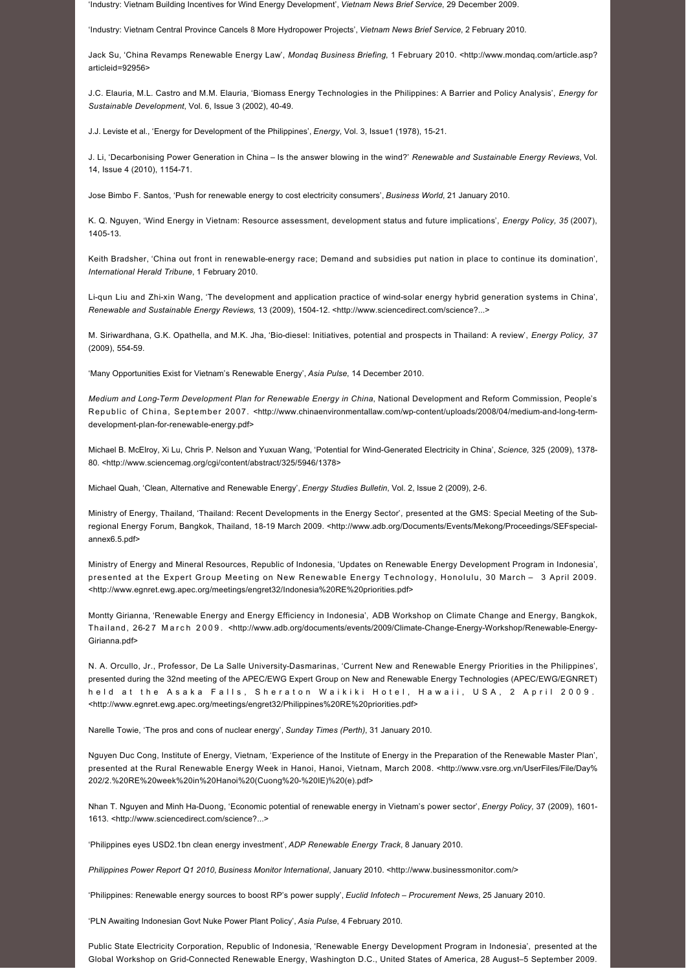'Industry: Vietnam Building Incentives for Wind Energy Development', *Vietnam News Brief Service*, 29 December 2009.

'Industry: Vietnam Central Province Cancels 8 More Hydropower Projects', *Vietnam News Brief Service*, 2 February 2010.

Jack Su, 'China Revamps Renewable Energy Law', *Mondaq Business Briefing*[, 1 February 2010. <http://www.mondaq.com/article.asp?](http://www.mondaq.com/article.asp?articleid=92956) articleid=92956>

J.C. Elauria, M.L. Castro and M.M. Elauria, 'Biomass Energy Technologies in the Philippines: A Barrier and Policy Analysis', *Energy for*  Sustainable Development, Vol. 6, Issue 3 (2002), 40-49.

J.J. Leviste et al., 'Energy for Development of the Philippines', *Energy*, Vol. 3, Issue1 (1978), 15-21.

J. Li, 'Decarbonising Power Generation in China – Is the answer blowing in the wind?' *Renewable and Sustainable Energy Reviews*, Vol. 14, Issue 4 (2010), 1154-71.

Jose Bimbo F. Santos, 'Push for renewable energy to cost electricity consumers', *Business World*, 21 January 2010.

K. Q. Nguyen, 'Wind Energy in Vietnam: Resource assessment, development status and future implications', *Energy Policy, 35* (2007), 1405-13

Keith Bradsher, 'China out front in renewable-energy race; Demand and subsidies put nation in place to continue its domination', *International Herald Tribune*, 1 February 2010.

Li-qun Liu and Zhi-xin Wang, 'The development and application practice of wind-solar energy hybrid generation systems in China', Renewable and Sustainable Energy Reviews, 13 (2009), 1504-12. [<http://www.sciencedirect.com/science?...>](http://www.sciencedirect.com/science?_ob=ArticleURL&_udi=B6VMY-4TRY3DY-1&_user=10&_coverDate=09%2F30%2F2009&_rdoc=1&_fmt=high&_orig=search&_sort=d&_docanchor=&view=c&_searchStrId=1199463906&_rerunOrigin=google&_acct=C000050221&_version=1&_urlVersion=0&_userid=10&md5=4b624b28b2be051166c57b8f4a9a3642)

M. Siriwardhana, G.K. Opathella, and M.K. Jha, 'Biodiesel: Initiatives, potential and prospects in Thailand: A review', *Energy Policy, 37* (2009), 554-59.

'Many Opportunities Exist for Vietnam's Renewable Energy', *Asia Pulse*, 14 December 2010.

*Medium and Long-Term Development Plan for Renewable Energy in China*, National Development and Reform Commission, People's Republic of China, September 2007. < http://www.chinaenvironmentallaw.com/wp-content/uploads/2008/04/medium-and-long-termdevelopment-plan-for-renewable-energy.pdf>

Michael B. McElroy, Xi Lu, Chris P. Nelson and Yuxuan Wang, 'Potential for Wind-Generated Electricity in China', Science, 325 (2009), 1378-80. [<http://www.sciencemag.org/cgi/content/abstract/325/5946/1378>](http://www.sciencemag.org/cgi/content/abstract/325/5946/1378)

Michael Quah, 'Clean, Alternative and Renewable Energy', *Energy Studies Bulletin*, Vol. 2, Issue 2 (2009), 26.

Ministry of Energy, Thailand, 'Thailand: Recent Developments in the Energy Sector', presented at the GMS: Special Meeting of the Subregional Energy Forum, Bangkok, Thailand, 18-19 March 2009. <http://www.adb.org/Documents/Events/Mekong/Proceedings/SEFspecialannex6.5.pdf>

Ministry of Energy and Mineral Resources, Republic of Indonesia, 'Updates on Renewable Energy Development Program in Indonesia', presented at the Expert Group Meeting on New Renewable Energy Technology, Honolulu, 30 March – 3 April 2009. <<http://www.egnret.ewg.apec.org/meetings/engret32/Indonesia%20RE%20priorities.pdf>>

Montty Girianna, 'Renewable Energy and Energy Efficiency in Indonesia', ADB Workshop on Climate Change and Energy, Bangkok, Thailand, 26-27 March 2009. <http://www.adb.org/documents/events/2009/Climate-Change-Energy-Workshop/Renewable-Energy-Girianna.pdf>

N. A. Orcullo, Jr., Professor, De La Salle University-Dasmarinas, 'Current New and Renewable Energy Priorities in the Philippines', presented during the 32nd meeting of the APEC/EWG Expert Group on New and Renewable Energy Technologies (APEC/EWG/EGNRET) held at the Asaka Falls, Sheraton Waikiki Hotel, Hawaii, USA, 2 April 2009. <[http://www.egnret.ewg.apec.org/meetings/engret32/Philippines%20RE%20priorities.pdf>](http://www.egnret.ewg.apec.org/meetings/engret32/Philippines%20RE%20priorities.pdf)

Narelle Towie, 'The pros and cons of nuclear energy', *Sunday Times (Perth)*, 31 January 2010.

Nguyen Duc Cong, Institute of Energy, Vietnam, 'Experience of the Institute of Energy in the Preparation of the Renewable Master Plan', [presented at the Rural Renewable Energy Week in Hanoi, Hanoi, Vietnam, March 2008. <http://www.vsre.org.vn/UserFiles/File/Day%](http://www.vsre.org.vn/UserFiles/File/Day%202/2.%20RE%20week%20in%20Hanoi%20(Cuong%20-%20IE)%20(e).pdf) 202/2.%20RE%20week%20in%20Hanoi%20(Cuong%20-%20IE)%20(e).pdf>

Nhan T. Nguyen and Minh Ha-Duong, 'Economic potential of renewable energy in Vietnam's power sector', *Energy Policy*, 37 (2009), 1601-1613. <[http://www.sciencedirect.com/science?...>](http://www.sciencedirect.com/science?_ob=ArticleURL&_udi=B6V2W-4VKDGXC-1&_user=10&_coverDate=05%2F31%2F2009&_rdoc=1&_fmt=high&_orig=search&_sort=d&_docanchor=&view=c&_searchStrId=1211878837&_rerunOrigin=google&_acct=C000050221&_version=1&_urlVersion=0&_userid=10&md5=76bb8a650a02c2b7231f3d8c231d795a)

'Philippines eyes USD2.1bn clean energy investment', *ADP Renewable Energy Track*, 8 January 2010.

*Philippines Power Report Q1 2010*, *Business Monitor International*, January 2010. [<http://www.businessmonitor.com/>](http://www.businessmonitor.com/)

'Philippines: Renewable energy sources to boost RP's power supply', *Euclid Infotech – Procurement News*, 25 January 2010.

'PLN Awaiting Indonesian Govt Nuke Power Plant Policy', *Asia Pulse*, 4 February 2010.

Public State Electricity Corporation, Republic of Indonesia, 'Renewable Energy Development Program in Indonesia', presented at the Global Workshop on GridConnected Renewable Energy, Washington D.C., United States of America, 28 August–5 September 2009.